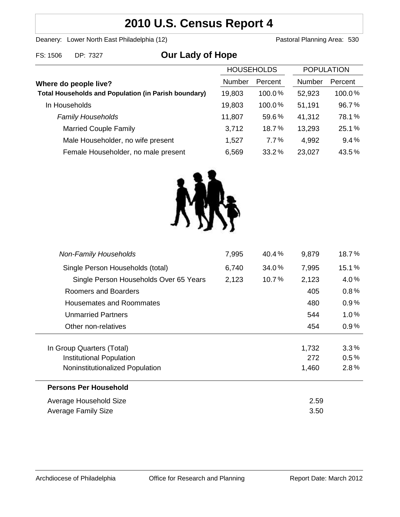# **2010 U.S. Census Report 4**

Deanery: Lower North East Philadelphia (12) Deanery: Lower North East Philadelphia (12)

| FS: 1506 DP: 7327 | <b>Our Lady of Hope</b> |
|-------------------|-------------------------|
|-------------------|-------------------------|

|                                                             | <b>HOUSEHOLDS</b> |         | <b>POPULATION</b> |         |
|-------------------------------------------------------------|-------------------|---------|-------------------|---------|
| Where do people live?                                       | Number            | Percent | Number            | Percent |
| <b>Total Households and Population (in Parish boundary)</b> | 19,803            | 100.0%  | 52,923            | 100.0%  |
| In Households                                               | 19,803            | 100.0%  | 51,191            | 96.7%   |
| <b>Family Households</b>                                    | 11,807            | 59.6%   | 41,312            | 78.1%   |
| <b>Married Couple Family</b>                                | 3,712             | 18.7%   | 13,293            | 25.1%   |
| Male Householder, no wife present                           | 1,527             | $7.7\%$ | 4,992             | 9.4%    |
| Female Householder, no male present                         | 6,569             | 33.2%   | 23,027            | 43.5%   |



| 7,995 | 40.4%    | 9,879 | 18.7%   |
|-------|----------|-------|---------|
| 6,740 | 34.0%    | 7,995 | 15.1%   |
| 2,123 | $10.7\%$ | 2,123 | 4.0%    |
|       |          | 405   | 0.8%    |
|       |          | 480   | 0.9%    |
|       |          | 544   | $1.0\%$ |
|       |          | 454   | $0.9\%$ |
|       |          |       |         |
|       |          | 1,732 | 3.3%    |
|       |          | 272   | 0.5%    |
|       |          | 1,460 | 2.8%    |
|       |          |       |         |
| 2.59  |          |       |         |
|       |          | 3.50  |         |
|       |          |       |         |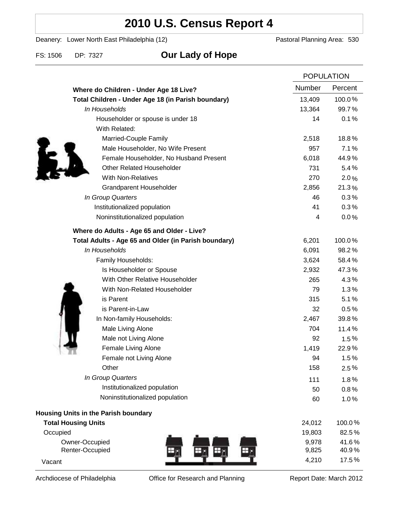# **2010 U.S. Census Report 4**

Deanery: Lower North East Philadelphia (12) Deanery: Lower North East Philadelphia (12)

FS: 1506 DP: 7327 **Our Lady of Hope**

|                                                      |        | <b>POPULATION</b> |  |
|------------------------------------------------------|--------|-------------------|--|
| Where do Children - Under Age 18 Live?               | Number | Percent           |  |
| Total Children - Under Age 18 (in Parish boundary)   | 13,409 | 100.0%            |  |
| In Households                                        | 13,364 | 99.7%             |  |
| Householder or spouse is under 18                    | 14     | 0.1%              |  |
| With Related:                                        |        |                   |  |
| Married-Couple Family                                | 2,518  | 18.8%             |  |
| Male Householder, No Wife Present                    | 957    | 7.1%              |  |
| Female Householder, No Husband Present               | 6,018  | 44.9%             |  |
| <b>Other Related Householder</b>                     | 731    | 5.4%              |  |
| <b>With Non-Relatives</b>                            | 270    | 2.0%              |  |
| <b>Grandparent Householder</b>                       | 2,856  | 21.3%             |  |
| In Group Quarters                                    | 46     | 0.3%              |  |
| Institutionalized population                         | 41     | 0.3%              |  |
| Noninstitutionalized population                      | 4      | 0.0%              |  |
| Where do Adults - Age 65 and Older - Live?           |        |                   |  |
| Total Adults - Age 65 and Older (in Parish boundary) | 6,201  | 100.0%            |  |
| In Households                                        | 6,091  | 98.2%             |  |
| Family Households:                                   | 3,624  | 58.4%             |  |
| Is Householder or Spouse                             | 2,932  | 47.3%             |  |
| With Other Relative Householder                      | 265    | 4.3%              |  |
| With Non-Related Householder                         | 79     | 1.3%              |  |
| is Parent                                            | 315    | 5.1%              |  |
| is Parent-in-Law                                     | 32     | 0.5%              |  |
| In Non-family Households:                            | 2,467  | 39.8%             |  |
| Male Living Alone                                    | 704    | 11.4%             |  |
| Male not Living Alone                                | 92     | 1.5%              |  |
| Female Living Alone                                  | 1,419  | 22.9%             |  |
| Female not Living Alone                              | 94     | 1.5%              |  |
| Other                                                | 158    | 2.5%              |  |
| In Group Quarters                                    | 111    | 1.8%              |  |
| Institutionalized population                         | 50     | 0.8%              |  |
| Noninstitutionalized population                      | 60     | 1.0%              |  |
| Housing Units in the Parish boundary                 |        |                   |  |
| <b>Total Housing Units</b>                           | 24,012 | 100.0%            |  |
| Occupied                                             | 19,803 | 82.5%             |  |
| Owner-Occupied                                       | 9,978  | 41.6%             |  |
| Renter-Occupied                                      | 9,825  | 40.9%             |  |
| Vacant                                               | 4,210  | 17.5%             |  |

Archdiocese of Philadelphia **Office for Research and Planning** Report Date: March 2012